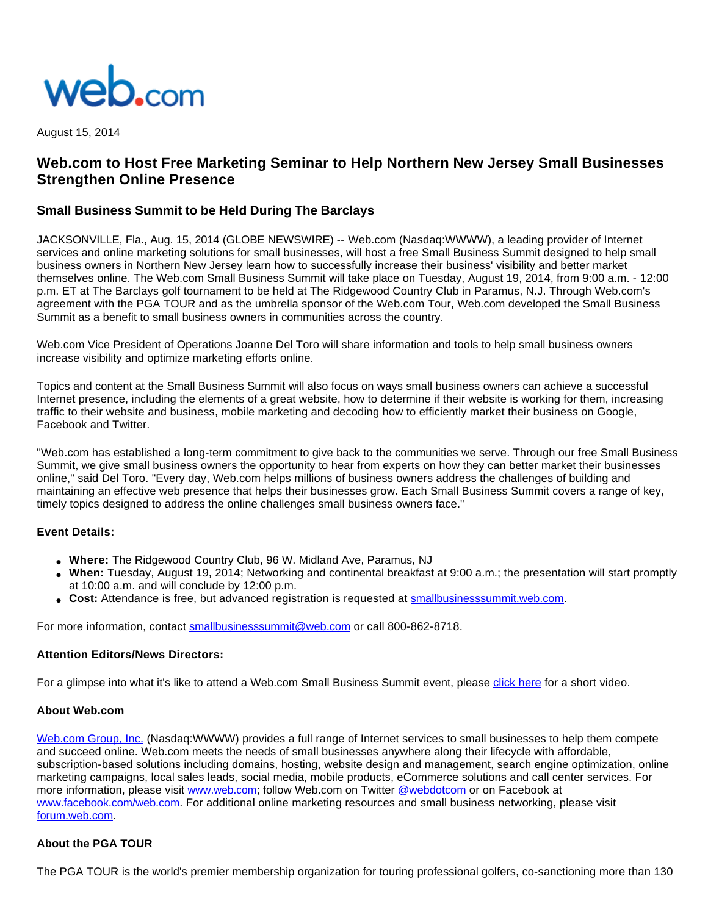

August 15, 2014

# **Web.com to Host Free Marketing Seminar to Help Northern New Jersey Small Businesses Strengthen Online Presence**

## **Small Business Summit to be Held During The Barclays**

JACKSONVILLE, Fla., Aug. 15, 2014 (GLOBE NEWSWIRE) -- Web.com (Nasdaq:WWWW), a leading provider of Internet services and online marketing solutions for small businesses, will host a free Small Business Summit designed to help small business owners in Northern New Jersey learn how to successfully increase their business' visibility and better market themselves online. The Web.com Small Business Summit will take place on Tuesday, August 19, 2014, from 9:00 a.m. - 12:00 p.m. ET at The Barclays golf tournament to be held at The Ridgewood Country Club in Paramus, N.J. Through Web.com's agreement with the PGA TOUR and as the umbrella sponsor of the Web.com Tour, Web.com developed the Small Business Summit as a benefit to small business owners in communities across the country.

Web.com Vice President of Operations Joanne Del Toro will share information and tools to help small business owners increase visibility and optimize marketing efforts online.

Topics and content at the Small Business Summit will also focus on ways small business owners can achieve a successful Internet presence, including the elements of a great website, how to determine if their website is working for them, increasing traffic to their website and business, mobile marketing and decoding how to efficiently market their business on Google, Facebook and Twitter.

"Web.com has established a long-term commitment to give back to the communities we serve. Through our free Small Business Summit, we give small business owners the opportunity to hear from experts on how they can better market their businesses online," said Del Toro. "Every day, Web.com helps millions of business owners address the challenges of building and maintaining an effective web presence that helps their businesses grow. Each Small Business Summit covers a range of key, timely topics designed to address the online challenges small business owners face."

## **Event Details:**

- **Where:** The Ridgewood Country Club, 96 W. Midland Ave, Paramus, NJ
- **When:** Tuesday, August 19, 2014; Networking and continental breakfast at 9:00 a.m.; the presentation will start promptly at 10:00 a.m. and will conclude by 12:00 p.m.
- **Cost:** Attendance is free, but advanced registration is requested at [smallbusinesssummit.web.com.](http://www.globenewswire.com/newsroom/ctr?d=10094839&l=5&a=smallbusinesssummit.web.com&u=http%3A%2F%2Fsmallbusinesssummit.web.com%2F)

For more information, contact [smallbusinesssummit@web.com](http://www.globenewswire.com/newsroom/ctr?d=10094839&l=6&a=smallbusinesssummit%40web.com&u=mailto%3Asmallbusinesssummit%40web.com) or call 800-862-8718.

## **Attention Editors/News Directors:**

For a glimpse into what it's like to attend a Web.com Small Business Summit event, please [click here](http://www.globenewswire.com/newsroom/ctr?d=10094839&l=8&a=click%20here&u=https%3A%2F%2Fwww.youtube.com%2Fwatch%3Fv%3D9GYOsxwgC4M) for a short video.

## **About Web.com**

[Web.com Group, Inc.](http://www.globenewswire.com/newsroom/ctr?d=10094839&l=10&a=Web.com%20Group%2C%20Inc.&u=http%3A%2F%2Fwww.web.com%2F) (Nasdaq:WWWW) provides a full range of Internet services to small businesses to help them compete and succeed online. Web.com meets the needs of small businesses anywhere along their lifecycle with affordable, subscription-based solutions including domains, hosting, website design and management, search engine optimization, online marketing campaigns, local sales leads, social media, mobile products, eCommerce solutions and call center services. For more information, please visit [www.web.com](http://www.web.com/); follow Web.com on Twitter [@webdotcom](http://www.globenewswire.com/newsroom/ctr?d=10094839&l=10&a=%40webdotcom&u=https%3A%2F%2Ftwitter.com%2Fwebdotcom) or on Facebook at [www.facebook.com/web.com](http://www.facebook.com/web.com). For additional online marketing resources and small business networking, please visit [forum.web.com.](http://www.globenewswire.com/newsroom/ctr?d=10094839&l=10&a=forum.web.com&u=https%3A%2F%2Fforum.web.com%2F)

## **About the PGA TOUR**

The PGA TOUR is the world's premier membership organization for touring professional golfers, co-sanctioning more than 130